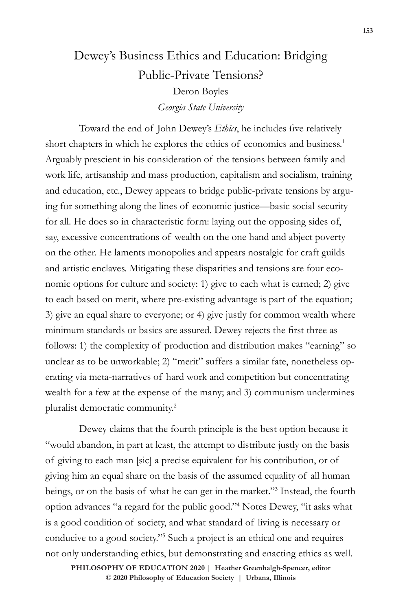# Dewey's Business Ethics and Education: Bridging Public-Private Tensions? Deron Boyles *Georgia State University*

Toward the end of John Dewey's *Ethics*, he includes five relatively short chapters in which he explores the ethics of economics and business.<sup>1</sup> Arguably prescient in his consideration of the tensions between family and work life, artisanship and mass production, capitalism and socialism, training and education, etc., Dewey appears to bridge public-private tensions by arguing for something along the lines of economic justice—basic social security for all. He does so in characteristic form: laying out the opposing sides of, say, excessive concentrations of wealth on the one hand and abject poverty on the other. He laments monopolies and appears nostalgic for craft guilds and artistic enclaves. Mitigating these disparities and tensions are four economic options for culture and society: 1) give to each what is earned; 2) give to each based on merit, where pre-existing advantage is part of the equation; 3) give an equal share to everyone; or 4) give justly for common wealth where minimum standards or basics are assured. Dewey rejects the first three as follows: 1) the complexity of production and distribution makes "earning" so unclear as to be unworkable; 2) "merit" suffers a similar fate, nonetheless operating via meta-narratives of hard work and competition but concentrating wealth for a few at the expense of the many; and 3) communism undermines pluralist democratic community.2

Dewey claims that the fourth principle is the best option because it "would abandon, in part at least, the attempt to distribute justly on the basis of giving to each man [sic] a precise equivalent for his contribution, or of giving him an equal share on the basis of the assumed equality of all human beings, or on the basis of what he can get in the market."3 Instead, the fourth option advances "a regard for the public good."4 Notes Dewey, "it asks what is a good condition of society, and what standard of living is necessary or conducive to a good society."5 Such a project is an ethical one and requires not only understanding ethics, but demonstrating and enacting ethics as well.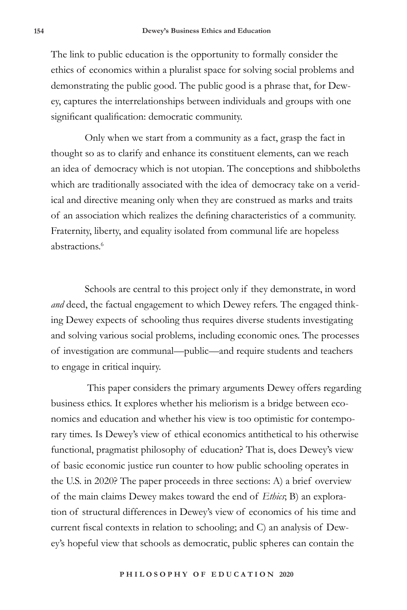The link to public education is the opportunity to formally consider the ethics of economics within a pluralist space for solving social problems and demonstrating the public good. The public good is a phrase that, for Dewey, captures the interrelationships between individuals and groups with one significant qualification: democratic community.

Only when we start from a community as a fact, grasp the fact in thought so as to clarify and enhance its constituent elements, can we reach an idea of democracy which is not utopian. The conceptions and shibboleths which are traditionally associated with the idea of democracy take on a veridical and directive meaning only when they are construed as marks and traits of an association which realizes the defining characteristics of a community. Fraternity, liberty, and equality isolated from communal life are hopeless abstractions.<sup>6</sup>

Schools are central to this project only if they demonstrate, in word *and* deed, the factual engagement to which Dewey refers. The engaged thinking Dewey expects of schooling thus requires diverse students investigating and solving various social problems, including economic ones. The processes of investigation are communal—public—and require students and teachers to engage in critical inquiry.

 This paper considers the primary arguments Dewey offers regarding business ethics. It explores whether his meliorism is a bridge between economics and education and whether his view is too optimistic for contemporary times. Is Dewey's view of ethical economics antithetical to his otherwise functional, pragmatist philosophy of education? That is, does Dewey's view of basic economic justice run counter to how public schooling operates in the U.S. in 2020? The paper proceeds in three sections: A) a brief overview of the main claims Dewey makes toward the end of *Ethics*; B) an exploration of structural differences in Dewey's view of economics of his time and current fiscal contexts in relation to schooling; and C) an analysis of Dewey's hopeful view that schools as democratic, public spheres can contain the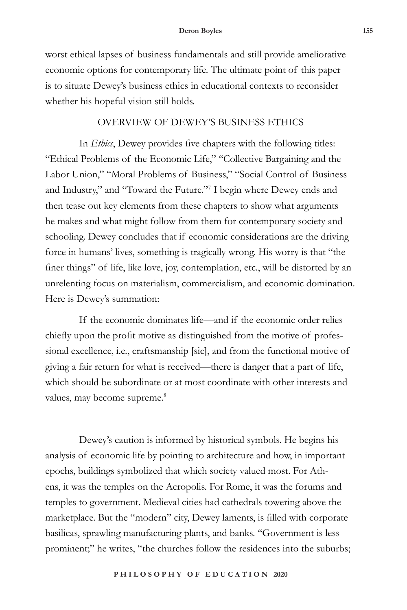worst ethical lapses of business fundamentals and still provide ameliorative economic options for contemporary life. The ultimate point of this paper is to situate Dewey's business ethics in educational contexts to reconsider whether his hopeful vision still holds.

### OVERVIEW OF DEWEY'S BUSINESS ETHICS

In *Ethics*, Dewey provides five chapters with the following titles: "Ethical Problems of the Economic Life," "Collective Bargaining and the Labor Union," "Moral Problems of Business," "Social Control of Business and Industry," and "Toward the Future."7 I begin where Dewey ends and then tease out key elements from these chapters to show what arguments he makes and what might follow from them for contemporary society and schooling. Dewey concludes that if economic considerations are the driving force in humans' lives, something is tragically wrong. His worry is that "the finer things" of life, like love, joy, contemplation, etc., will be distorted by an unrelenting focus on materialism, commercialism, and economic domination. Here is Dewey's summation:

If the economic dominates life—and if the economic order relies chiefly upon the profit motive as distinguished from the motive of professional excellence, i.e., craftsmanship [sic], and from the functional motive of giving a fair return for what is received—there is danger that a part of life, which should be subordinate or at most coordinate with other interests and values, may become supreme.<sup>8</sup>

Dewey's caution is informed by historical symbols. He begins his analysis of economic life by pointing to architecture and how, in important epochs, buildings symbolized that which society valued most. For Athens, it was the temples on the Acropolis. For Rome, it was the forums and temples to government. Medieval cities had cathedrals towering above the marketplace. But the "modern" city, Dewey laments, is filled with corporate basilicas, sprawling manufacturing plants, and banks. "Government is less prominent;" he writes, "the churches follow the residences into the suburbs;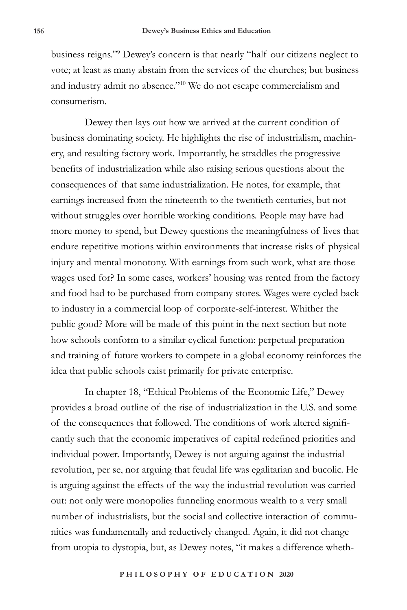business reigns."9 Dewey's concern is that nearly "half our citizens neglect to vote; at least as many abstain from the services of the churches; but business and industry admit no absence."10 We do not escape commercialism and consumerism.

Dewey then lays out how we arrived at the current condition of business dominating society. He highlights the rise of industrialism, machinery, and resulting factory work. Importantly, he straddles the progressive benefits of industrialization while also raising serious questions about the consequences of that same industrialization. He notes, for example, that earnings increased from the nineteenth to the twentieth centuries, but not without struggles over horrible working conditions. People may have had more money to spend, but Dewey questions the meaningfulness of lives that endure repetitive motions within environments that increase risks of physical injury and mental monotony. With earnings from such work, what are those wages used for? In some cases, workers' housing was rented from the factory and food had to be purchased from company stores. Wages were cycled back to industry in a commercial loop of corporate-self-interest. Whither the public good? More will be made of this point in the next section but note how schools conform to a similar cyclical function: perpetual preparation and training of future workers to compete in a global economy reinforces the idea that public schools exist primarily for private enterprise.

In chapter 18, "Ethical Problems of the Economic Life," Dewey provides a broad outline of the rise of industrialization in the U.S. and some of the consequences that followed. The conditions of work altered significantly such that the economic imperatives of capital redefined priorities and individual power. Importantly, Dewey is not arguing against the industrial revolution, per se, nor arguing that feudal life was egalitarian and bucolic. He is arguing against the effects of the way the industrial revolution was carried out: not only were monopolies funneling enormous wealth to a very small number of industrialists, but the social and collective interaction of communities was fundamentally and reductively changed. Again, it did not change from utopia to dystopia, but, as Dewey notes, "it makes a difference wheth-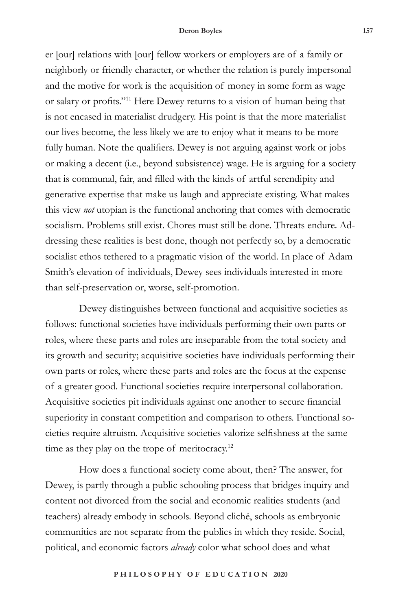er [our] relations with [our] fellow workers or employers are of a family or neighborly or friendly character, or whether the relation is purely impersonal and the motive for work is the acquisition of money in some form as wage or salary or profits."11 Here Dewey returns to a vision of human being that is not encased in materialist drudgery. His point is that the more materialist our lives become, the less likely we are to enjoy what it means to be more fully human. Note the qualifiers. Dewey is not arguing against work or jobs or making a decent (i.e., beyond subsistence) wage. He is arguing for a society that is communal, fair, and filled with the kinds of artful serendipity and generative expertise that make us laugh and appreciate existing. What makes this view *not* utopian is the functional anchoring that comes with democratic socialism. Problems still exist. Chores must still be done. Threats endure. Addressing these realities is best done, though not perfectly so, by a democratic socialist ethos tethered to a pragmatic vision of the world. In place of Adam Smith's elevation of individuals, Dewey sees individuals interested in more than self-preservation or, worse, self-promotion.

Dewey distinguishes between functional and acquisitive societies as follows: functional societies have individuals performing their own parts or roles, where these parts and roles are inseparable from the total society and its growth and security; acquisitive societies have individuals performing their own parts or roles, where these parts and roles are the focus at the expense of a greater good. Functional societies require interpersonal collaboration. Acquisitive societies pit individuals against one another to secure financial superiority in constant competition and comparison to others. Functional societies require altruism. Acquisitive societies valorize selfishness at the same time as they play on the trope of meritocracy. $12$ 

How does a functional society come about, then? The answer, for Dewey, is partly through a public schooling process that bridges inquiry and content not divorced from the social and economic realities students (and teachers) already embody in schools. Beyond cliché, schools as embryonic communities are not separate from the publics in which they reside. Social, political, and economic factors *already* color what school does and what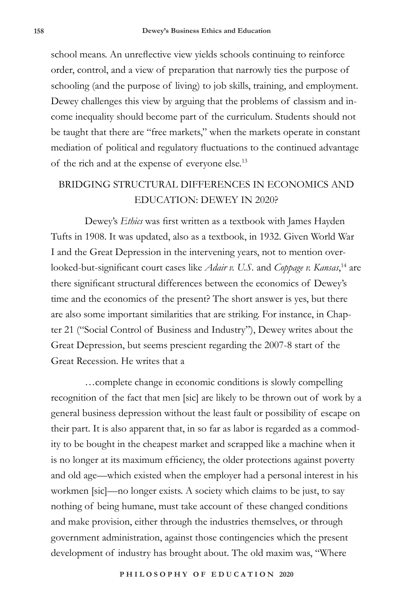school means. An unreflective view yields schools continuing to reinforce order, control, and a view of preparation that narrowly ties the purpose of schooling (and the purpose of living) to job skills, training, and employment. Dewey challenges this view by arguing that the problems of classism and income inequality should become part of the curriculum. Students should not be taught that there are "free markets," when the markets operate in constant mediation of political and regulatory fluctuations to the continued advantage of the rich and at the expense of everyone else.13

## BRIDGING STRUCTURAL DIFFERENCES IN ECONOMICS AND EDUCATION: DEWEY IN 2020?

Dewey's *Ethics* was first written as a textbook with James Hayden Tufts in 1908. It was updated, also as a textbook, in 1932. Given World War I and the Great Depression in the intervening years, not to mention overlooked-but-significant court cases like *Adair v. U.S.* and *Coppage v. Kansas*, 14 are there significant structural differences between the economics of Dewey's time and the economics of the present? The short answer is yes, but there are also some important similarities that are striking. For instance, in Chapter 21 ("Social Control of Business and Industry"), Dewey writes about the Great Depression, but seems prescient regarding the 2007-8 start of the Great Recession. He writes that a

…complete change in economic conditions is slowly compelling recognition of the fact that men [sic] are likely to be thrown out of work by a general business depression without the least fault or possibility of escape on their part. It is also apparent that, in so far as labor is regarded as a commodity to be bought in the cheapest market and scrapped like a machine when it is no longer at its maximum efficiency, the older protections against poverty and old age—which existed when the employer had a personal interest in his workmen [sic]—no longer exists. A society which claims to be just, to say nothing of being humane, must take account of these changed conditions and make provision, either through the industries themselves, or through government administration, against those contingencies which the present development of industry has brought about. The old maxim was, "Where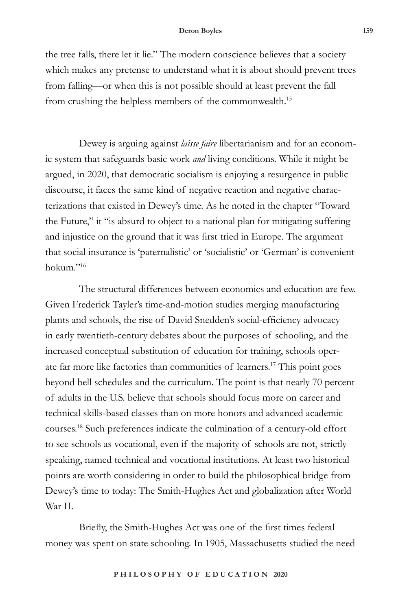the tree falls, there let it lie." The modern conscience believes that a society which makes any pretense to understand what it is about should prevent trees from falling—or when this is not possible should at least prevent the fall from crushing the helpless members of the commonwealth.15

Dewey is arguing against *laisse faire* libertarianism and for an economic system that safeguards basic work *and* living conditions. While it might be argued, in 2020, that democratic socialism is enjoying a resurgence in public discourse, it faces the same kind of negative reaction and negative characterizations that existed in Dewey's time. As he noted in the chapter "Toward the Future," it "is absurd to object to a national plan for mitigating suffering and injustice on the ground that it was first tried in Europe. The argument that social insurance is 'paternalistic' or 'socialistic' or 'German' is convenient hokum."16

The structural differences between economics and education are few. Given Frederick Tayler's time-and-motion studies merging manufacturing plants and schools, the rise of David Snedden's social-efficiency advocacy in early twentieth-century debates about the purposes of schooling, and the increased conceptual substitution of education for training, schools operate far more like factories than communities of learners.17 This point goes beyond bell schedules and the curriculum. The point is that nearly 70 percent of adults in the U.S. believe that schools should focus more on career and technical skills-based classes than on more honors and advanced academic courses.18 Such preferences indicate the culmination of a century-old effort to see schools as vocational, even if the majority of schools are not, strictly speaking, named technical and vocational institutions. At least two historical points are worth considering in order to build the philosophical bridge from Dewey's time to today: The Smith-Hughes Act and globalization after World War II.

Briefly, the Smith-Hughes Act was one of the first times federal money was spent on state schooling. In 1905, Massachusetts studied the need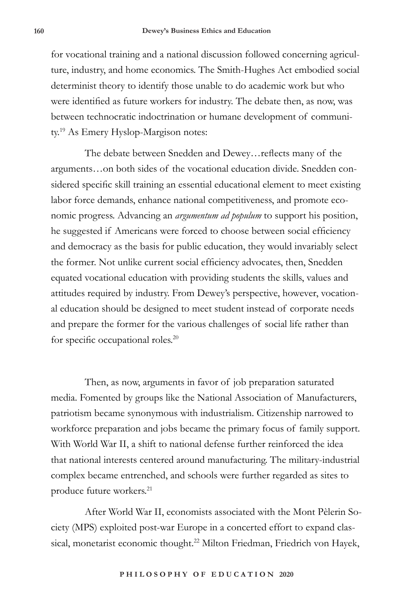for vocational training and a national discussion followed concerning agriculture, industry, and home economics. The Smith-Hughes Act embodied social determinist theory to identify those unable to do academic work but who were identified as future workers for industry. The debate then, as now, was between technocratic indoctrination or humane development of community.19 As Emery Hyslop-Margison notes:

The debate between Snedden and Dewey…reflects many of the arguments…on both sides of the vocational education divide. Snedden considered specific skill training an essential educational element to meet existing labor force demands, enhance national competitiveness, and promote economic progress. Advancing an *argumentum ad populum* to support his position, he suggested if Americans were forced to choose between social efficiency and democracy as the basis for public education, they would invariably select the former. Not unlike current social efficiency advocates, then, Snedden equated vocational education with providing students the skills, values and attitudes required by industry. From Dewey's perspective, however, vocational education should be designed to meet student instead of corporate needs and prepare the former for the various challenges of social life rather than for specific occupational roles.<sup>20</sup>

Then, as now, arguments in favor of job preparation saturated media. Fomented by groups like the National Association of Manufacturers, patriotism became synonymous with industrialism. Citizenship narrowed to workforce preparation and jobs became the primary focus of family support. With World War II, a shift to national defense further reinforced the idea that national interests centered around manufacturing. The military-industrial complex became entrenched, and schools were further regarded as sites to produce future workers.<sup>21</sup>

After World War II, economists associated with the Mont Pèlerin Society (MPS) exploited post-war Europe in a concerted effort to expand classical, monetarist economic thought.<sup>22</sup> Milton Friedman, Friedrich von Hayek,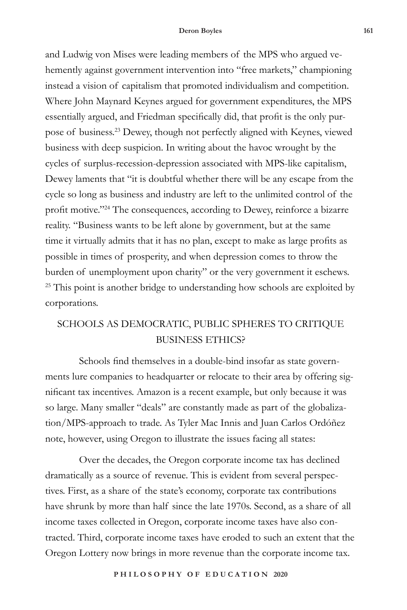and Ludwig von Mises were leading members of the MPS who argued vehemently against government intervention into "free markets," championing instead a vision of capitalism that promoted individualism and competition. Where John Maynard Keynes argued for government expenditures, the MPS essentially argued, and Friedman specifically did, that profit is the only purpose of business.23 Dewey, though not perfectly aligned with Keynes, viewed business with deep suspicion. In writing about the havoc wrought by the cycles of surplus-recession-depression associated with MPS-like capitalism, Dewey laments that "it is doubtful whether there will be any escape from the cycle so long as business and industry are left to the unlimited control of the profit motive."24 The consequences, according to Dewey, reinforce a bizarre reality. "Business wants to be left alone by government, but at the same time it virtually admits that it has no plan, except to make as large profits as possible in times of prosperity, and when depression comes to throw the burden of unemployment upon charity" or the very government it eschews. <sup>25</sup> This point is another bridge to understanding how schools are exploited by corporations.

## SCHOOLS AS DEMOCRATIC, PUBLIC SPHERES TO CRITIQUE BUSINESS ETHICS?

Schools find themselves in a double-bind insofar as state governments lure companies to headquarter or relocate to their area by offering significant tax incentives. Amazon is a recent example, but only because it was so large. Many smaller "deals" are constantly made as part of the globalization/MPS-approach to trade. As Tyler Mac Innis and Juan Carlos Ordóñez note, however, using Oregon to illustrate the issues facing all states:

Over the decades, the Oregon corporate income tax has declined dramatically as a source of revenue. This is evident from several perspectives. First, as a share of the state's economy, corporate tax contributions have shrunk by more than half since the late 1970s. Second, as a share of all income taxes collected in Oregon, corporate income taxes have also contracted. Third, corporate income taxes have eroded to such an extent that the Oregon Lottery now brings in more revenue than the corporate income tax.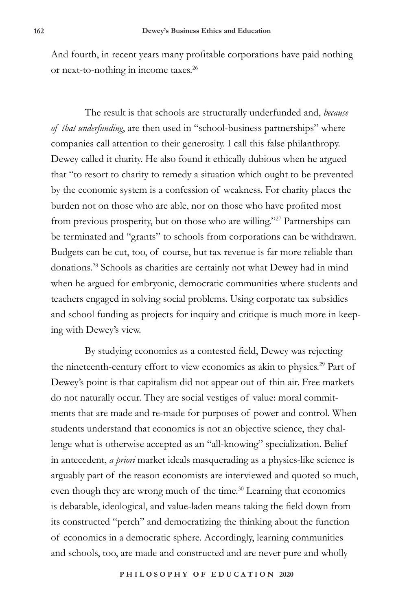And fourth, in recent years many profitable corporations have paid nothing or next-to-nothing in income taxes.<sup>26</sup>

The result is that schools are structurally underfunded and, *because of that underfunding*, are then used in "school-business partnerships" where companies call attention to their generosity. I call this false philanthropy. Dewey called it charity. He also found it ethically dubious when he argued that "to resort to charity to remedy a situation which ought to be prevented by the economic system is a confession of weakness. For charity places the burden not on those who are able, nor on those who have profited most from previous prosperity, but on those who are willing."27 Partnerships can be terminated and "grants" to schools from corporations can be withdrawn. Budgets can be cut, too, of course, but tax revenue is far more reliable than donations.28 Schools as charities are certainly not what Dewey had in mind when he argued for embryonic, democratic communities where students and teachers engaged in solving social problems. Using corporate tax subsidies and school funding as projects for inquiry and critique is much more in keeping with Dewey's view.

By studying economics as a contested field, Dewey was rejecting the nineteenth-century effort to view economics as akin to physics.<sup>29</sup> Part of Dewey's point is that capitalism did not appear out of thin air. Free markets do not naturally occur. They are social vestiges of value: moral commitments that are made and re-made for purposes of power and control. When students understand that economics is not an objective science, they challenge what is otherwise accepted as an "all-knowing" specialization. Belief in antecedent, *a priori* market ideals masquerading as a physics-like science is arguably part of the reason economists are interviewed and quoted so much, even though they are wrong much of the time.<sup>30</sup> Learning that economics is debatable, ideological, and value-laden means taking the field down from its constructed "perch" and democratizing the thinking about the function of economics in a democratic sphere. Accordingly, learning communities and schools, too, are made and constructed and are never pure and wholly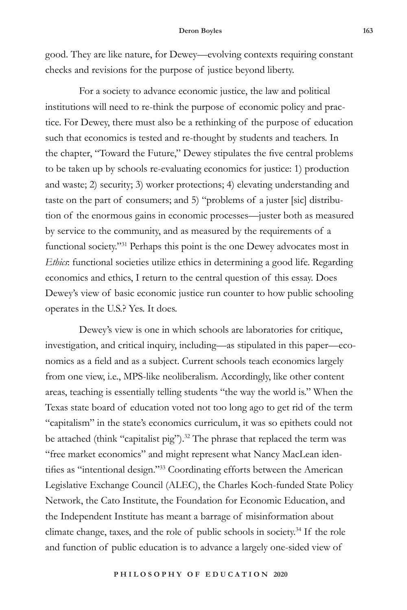good. They are like nature, for Dewey—evolving contexts requiring constant checks and revisions for the purpose of justice beyond liberty.

For a society to advance economic justice, the law and political institutions will need to re-think the purpose of economic policy and practice. For Dewey, there must also be a rethinking of the purpose of education such that economics is tested and re-thought by students and teachers. In the chapter, "Toward the Future," Dewey stipulates the five central problems to be taken up by schools re-evaluating economics for justice: 1) production and waste; 2) security; 3) worker protections; 4) elevating understanding and taste on the part of consumers; and 5) "problems of a juster [sic] distribution of the enormous gains in economic processes—juster both as measured by service to the community, and as measured by the requirements of a functional society."31 Perhaps this point is the one Dewey advocates most in *Ethics*: functional societies utilize ethics in determining a good life. Regarding economics and ethics, I return to the central question of this essay. Does Dewey's view of basic economic justice run counter to how public schooling operates in the U.S.? Yes. It does.

Dewey's view is one in which schools are laboratories for critique, investigation, and critical inquiry, including—as stipulated in this paper—economics as a field and as a subject. Current schools teach economics largely from one view, i.e., MPS-like neoliberalism. Accordingly, like other content areas, teaching is essentially telling students "the way the world is." When the Texas state board of education voted not too long ago to get rid of the term "capitalism" in the state's economics curriculum, it was so epithets could not be attached (think "capitalist pig").<sup>32</sup> The phrase that replaced the term was "free market economics" and might represent what Nancy MacLean identifies as "intentional design."<sup>33</sup> Coordinating efforts between the American Legislative Exchange Council (ALEC), the Charles Koch-funded State Policy Network, the Cato Institute, the Foundation for Economic Education, and the Independent Institute has meant a barrage of misinformation about climate change, taxes, and the role of public schools in society.34 If the role and function of public education is to advance a largely one-sided view of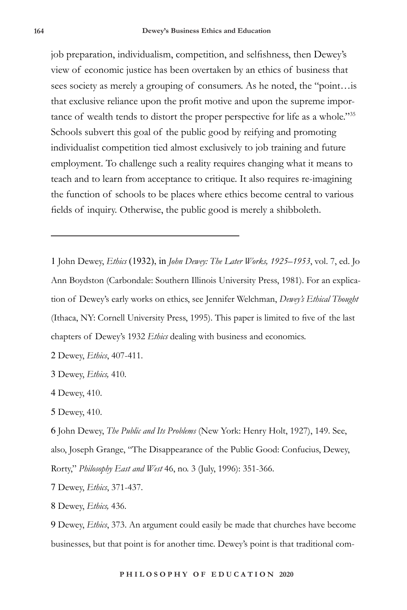job preparation, individualism, competition, and selfishness, then Dewey's view of economic justice has been overtaken by an ethics of business that sees society as merely a grouping of consumers. As he noted, the "point...is" that exclusive reliance upon the profit motive and upon the supreme importance of wealth tends to distort the proper perspective for life as a whole."35 Schools subvert this goal of the public good by reifying and promoting individualist competition tied almost exclusively to job training and future employment. To challenge such a reality requires changing what it means to teach and to learn from acceptance to critique. It also requires re-imagining the function of schools to be places where ethics become central to various fields of inquiry. Otherwise, the public good is merely a shibboleth.

1 John Dewey, *Ethics* (1932), in *John Dewey: The Later Works, 1925–1953*, vol. 7, ed. Jo Ann Boydston (Carbondale: Southern Illinois University Press, 1981). For an explication of Dewey's early works on ethics, see Jennifer Welchman, *Dewey's Ethical Thought* (Ithaca, NY: Cornell University Press, 1995). This paper is limited to five of the last chapters of Dewey's 1932 *Ethics* dealing with business and economics.

2 Dewey, *Ethics*, 407-411.

3 Dewey, *Ethics,* 410.

4 Dewey, 410.

5 Dewey, 410.

6 John Dewey, *The Public and Its Problems* (New York: Henry Holt, 1927), 149. See, also, Joseph Grange, "The Disappearance of the Public Good: Confucius, Dewey, Rorty," *Philosophy East and West* 46, no. 3 (July, 1996): 351-366.

7 Dewey, *Ethics*, 371-437.

8 Dewey, *Ethics,* 436.

9 Dewey, *Ethics*, 373. An argument could easily be made that churches have become businesses, but that point is for another time. Dewey's point is that traditional com-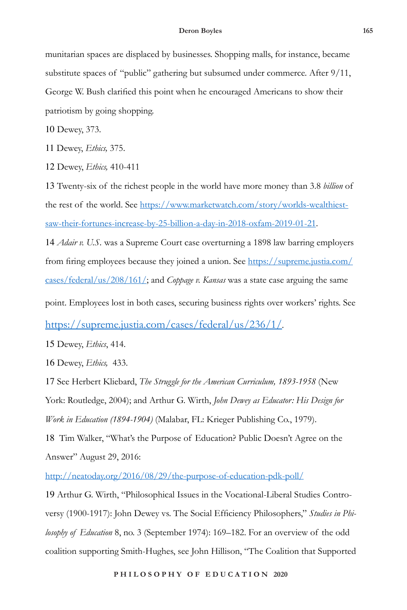munitarian spaces are displaced by businesses. Shopping malls, for instance, became substitute spaces of "public" gathering but subsumed under commerce. After 9/11, George W. Bush clarified this point when he encouraged Americans to show their patriotism by going shopping.

10 Dewey, 373.

11 Dewey, *Ethics,* 375.

12 Dewey, *Ethics,* 410-411

13 Twenty-six of the richest people in the world have more money than 3.8 *billion* of the rest of the world. See https://www.marketwatch.com/story/worlds-wealthiestsaw-their-fortunes-increase-by-25-billion-a-day-in-2018-oxfam-2019-01-21.

14 *Adair v. U.S.* was a Supreme Court case overturning a 1898 law barring employers from firing employees because they joined a union. See https://supreme.justia.com/ cases/federal/us/208/161/; and *Coppage v. Kansas* was a state case arguing the same

point. Employees lost in both cases, securing business rights over workers' rights. See

https://supreme.justia.com/cases/federal/us/236/1/.

15 Dewey, *Ethics*, 414.

16 Dewey, *Ethics,* 433.

17 See Herbert Kliebard, *The Struggle for the American Curriculum, 1893-1958* (New York: Routledge, 2004); and Arthur G. Wirth, *John Dewey as Educator: His Design for Work in Education (1894-1904)* (Malabar, FL: Krieger Publishing Co., 1979).

18 Tim Walker, "What's the Purpose of Education? Public Doesn't Agree on the Answer" August 29, 2016:

http://neatoday.org/2016/08/29/the-purpose-of-education-pdk-poll/

19 Arthur G. Wirth, "Philosophical Issues in the Vocational-Liberal Studies Controversy (1900-1917): John Dewey vs. The Social Efficiency Philosophers," *Studies in Philosophy of Education* 8, no. 3 (September 1974): 169–182. For an overview of the odd coalition supporting Smith-Hughes, see John Hillison, "The Coalition that Supported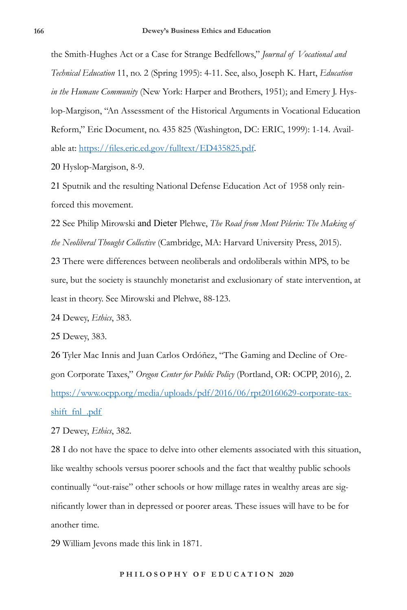the Smith-Hughes Act or a Case for Strange Bedfellows," *Journal of Vocational and Technical Education* 11, no. 2 (Spring 1995): 4-11. See, also, Joseph K. Hart, *Education in the Humane Community* (New York: Harper and Brothers, 1951); and Emery J. Hyslop-Margison, "An Assessment of the Historical Arguments in Vocational Education Reform," Eric Document, no. 435 825 (Washington, DC: ERIC, 1999): 1-14. Available at: https://files.eric.ed.gov/fulltext/ED435825.pdf.

20 Hyslop-Margison, 8-9.

21 Sputnik and the resulting National Defense Education Act of 1958 only reinforced this movement.

22 See Philip Mirowski and Dieter Plehwe, *The Road from Mont Pèlerin: The Making of the Neoliberal Thought Collective* (Cambridge, MA: Harvard University Press, 2015).

23 There were differences between neoliberals and ordoliberals within MPS, to be sure, but the society is staunchly monetarist and exclusionary of state intervention, at least in theory. See Mirowski and Plehwe, 88-123.

24 Dewey, *Ethics*, 383.

25 Dewey, 383.

26 Tyler Mac Innis and Juan Carlos Ordóñez, "The Gaming and Decline of Oregon Corporate Taxes," *Oregon Center for Public Policy* (Portland, OR: OCPP, 2016), 2. https://www.ocpp.org/media/uploads/pdf/2016/06/rpt20160629-corporate-taxshift\_fnl\_.pdf

27 Dewey, *Ethics*, 382.

28 I do not have the space to delve into other elements associated with this situation, like wealthy schools versus poorer schools and the fact that wealthy public schools continually "out-raise" other schools or how millage rates in wealthy areas are significantly lower than in depressed or poorer areas. These issues will have to be for another time.

29 William Jevons made this link in 1871.